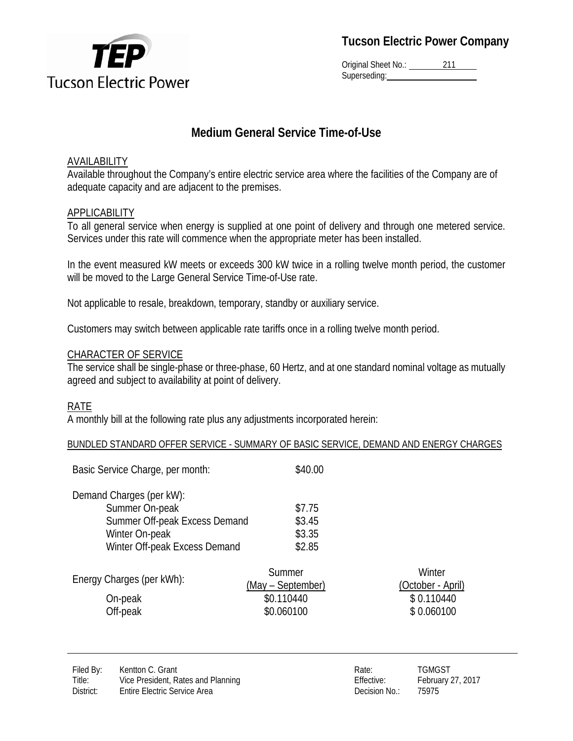

Original Sheet No.: 211 Superseding:

# **Medium General Service Time-of-Use**

## AVAILABILITY

Available throughout the Company's entire electric service area where the facilities of the Company are of adequate capacity and are adjacent to the premises.

## **APPLICABILITY**

To all general service when energy is supplied at one point of delivery and through one metered service. Services under this rate will commence when the appropriate meter has been installed.

In the event measured kW meets or exceeds 300 kW twice in a rolling twelve month period, the customer will be moved to the Large General Service Time-of-Use rate.

Not applicable to resale, breakdown, temporary, standby or auxiliary service.

Customers may switch between applicable rate tariffs once in a rolling twelve month period.

## CHARACTER OF SERVICE

The service shall be single-phase or three-phase, 60 Hertz, and at one standard nominal voltage as mutually agreed and subject to availability at point of delivery.

## RATE

A monthly bill at the following rate plus any adjustments incorporated herein:

### BUNDLED STANDARD OFFER SERVICE - SUMMARY OF BASIC SERVICE, DEMAND AND ENERGY CHARGES

| Basic Service Charge, per month: | \$40.00 |
|----------------------------------|---------|
| Demand Charges (per kW):         |         |
| Summer On-peak                   | \$7.75  |
| Summer Off-peak Excess Demand    | \$3.45  |
| Winter On-peak                   | \$3.35  |
| Winter Off-peak Excess Demand    | \$2.85  |

| Energy Charges (per kWh): | Summer            | Winter            |
|---------------------------|-------------------|-------------------|
|                           | (May – September) | (October - April) |
| On-peak                   | \$0.110440        | \$0.110440        |
| Off-peak                  | \$0.060100        | \$0.060100        |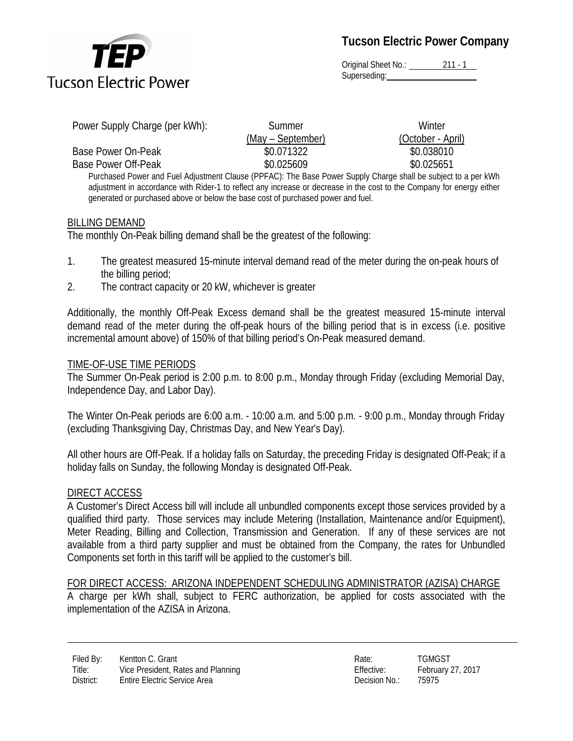

Original Sheet No.: 211 - 1 Superseding: and the state of the state of the state of the state of the state of the state of the state of the state of the state of the state of the state of the state of the state of the state of the state of the state

| Power Supply Charge (per kWh): | Summer            | Winter                                                                                                                 |
|--------------------------------|-------------------|------------------------------------------------------------------------------------------------------------------------|
|                                | (May – September) | (October - April)                                                                                                      |
| Base Power On-Peak             | \$0.071322        | \$0.038010                                                                                                             |
| Base Power Off-Peak            | \$0.025609        | \$0.025651                                                                                                             |
|                                |                   | Purchased Power and Fuel Adjustment Clause (PPFAC): The Base Power Supply Charge shall be subject to a per kWh         |
|                                |                   | adjustment in accordance with Rider-1 to reflect any increase or decrease in the cost to the Company for energy either |

#### BILLING DEMAND

The monthly On-Peak billing demand shall be the greatest of the following:

generated or purchased above or below the base cost of purchased power and fuel.

- 1. The greatest measured 15-minute interval demand read of the meter during the on-peak hours of the billing period;
- 2. The contract capacity or 20 kW, whichever is greater

Additionally, the monthly Off-Peak Excess demand shall be the greatest measured 15-minute interval demand read of the meter during the off-peak hours of the billing period that is in excess (i.e. positive incremental amount above) of 150% of that billing period's On-Peak measured demand.

#### TIME-OF-USE TIME PERIODS

The Summer On-Peak period is 2:00 p.m. to 8:00 p.m., Monday through Friday (excluding Memorial Day, Independence Day, and Labor Day).

The Winter On-Peak periods are 6:00 a.m. - 10:00 a.m. and 5:00 p.m. - 9:00 p.m., Monday through Friday (excluding Thanksgiving Day, Christmas Day, and New Year's Day).

All other hours are Off-Peak. If a holiday falls on Saturday, the preceding Friday is designated Off-Peak; if a holiday falls on Sunday, the following Monday is designated Off-Peak.

#### DIRECT ACCESS

A Customer's Direct Access bill will include all unbundled components except those services provided by a qualified third party. Those services may include Metering (Installation, Maintenance and/or Equipment), Meter Reading, Billing and Collection, Transmission and Generation. If any of these services are not available from a third party supplier and must be obtained from the Company, the rates for Unbundled Components set forth in this tariff will be applied to the customer's bill.

#### FOR DIRECT ACCESS: ARIZONA INDEPENDENT SCHEDULING ADMINISTRATOR (AZISA) CHARGE A charge per kWh shall, subject to FERC authorization, be applied for costs associated with the implementation of the AZISA in Arizona.

| Rate:         | TGMGST            |
|---------------|-------------------|
| Effective:    | February 27, 2017 |
| Decision No.: | 75975             |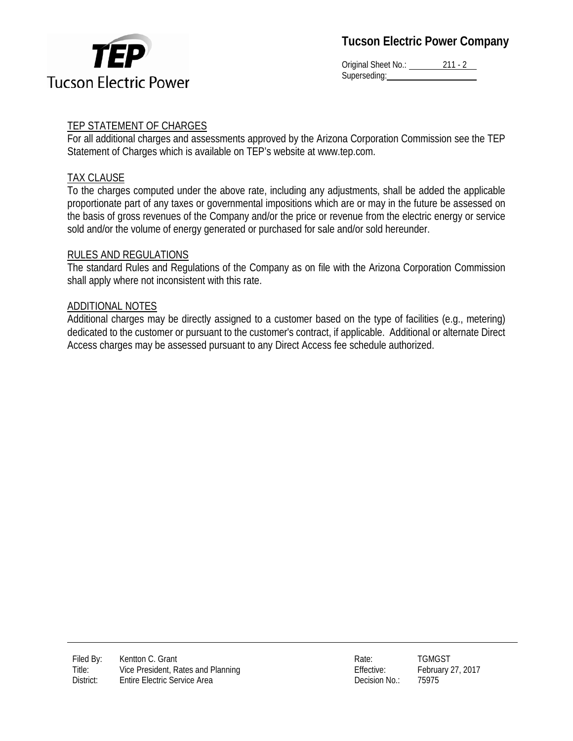

Original Sheet No.: 211 - 2 Superseding:

## TEP STATEMENT OF CHARGES

For all additional charges and assessments approved by the Arizona Corporation Commission see the TEP Statement of Charges which is available on TEP's website at www.tep.com.

## TAX CLAUSE

To the charges computed under the above rate, including any adjustments, shall be added the applicable proportionate part of any taxes or governmental impositions which are or may in the future be assessed on the basis of gross revenues of the Company and/or the price or revenue from the electric energy or service sold and/or the volume of energy generated or purchased for sale and/or sold hereunder.

## RULES AND REGULATIONS

The standard Rules and Regulations of the Company as on file with the Arizona Corporation Commission shall apply where not inconsistent with this rate.

### ADDITIONAL NOTES

Additional charges may be directly assigned to a customer based on the type of facilities (e.g., metering) dedicated to the customer or pursuant to the customer's contract, if applicable. Additional or alternate Direct Access charges may be assessed pursuant to any Direct Access fee schedule authorized.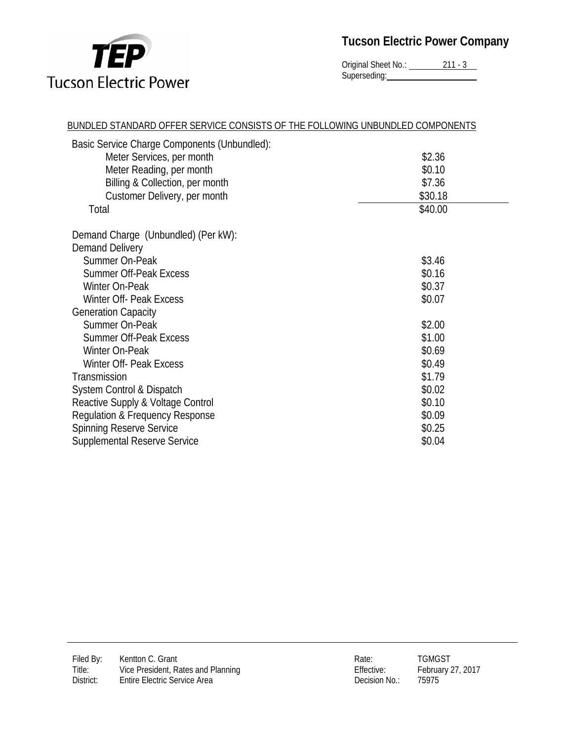

Original Sheet No.: 211 - 3 Superseding:

| BUNDLED STANDARD OFFER SERVICE CONSISTS OF THE FOLLOWING UNBUNDLED COMPONENTS |         |  |
|-------------------------------------------------------------------------------|---------|--|
| Basic Service Charge Components (Unbundled):                                  |         |  |
| Meter Services, per month                                                     | \$2.36  |  |
| Meter Reading, per month                                                      | \$0.10  |  |
| Billing & Collection, per month                                               | \$7.36  |  |
| Customer Delivery, per month                                                  | \$30.18 |  |
| Total                                                                         | \$40.00 |  |
|                                                                               |         |  |
| Demand Charge (Unbundled) (Per kW):                                           |         |  |
| Demand Delivery                                                               |         |  |
| Summer On-Peak                                                                | \$3.46  |  |
| <b>Summer Off-Peak Excess</b>                                                 | \$0.16  |  |
| Winter On-Peak                                                                | \$0.37  |  |
| Winter Off- Peak Excess                                                       | \$0.07  |  |
| <b>Generation Capacity</b>                                                    |         |  |
| Summer On-Peak                                                                | \$2.00  |  |
| <b>Summer Off-Peak Excess</b>                                                 | \$1.00  |  |
| Winter On-Peak                                                                | \$0.69  |  |
| Winter Off- Peak Excess                                                       | \$0.49  |  |
| Transmission                                                                  | \$1.79  |  |
| System Control & Dispatch                                                     | \$0.02  |  |
| Reactive Supply & Voltage Control                                             | \$0.10  |  |
| Regulation & Frequency Response                                               | \$0.09  |  |
| <b>Spinning Reserve Service</b>                                               | \$0.25  |  |
| <b>Supplemental Reserve Service</b>                                           | \$0.04  |  |

| Rate:         | TGMGST         |
|---------------|----------------|
| Effective:    | February 27, 2 |
| Decision No.: | 75975          |